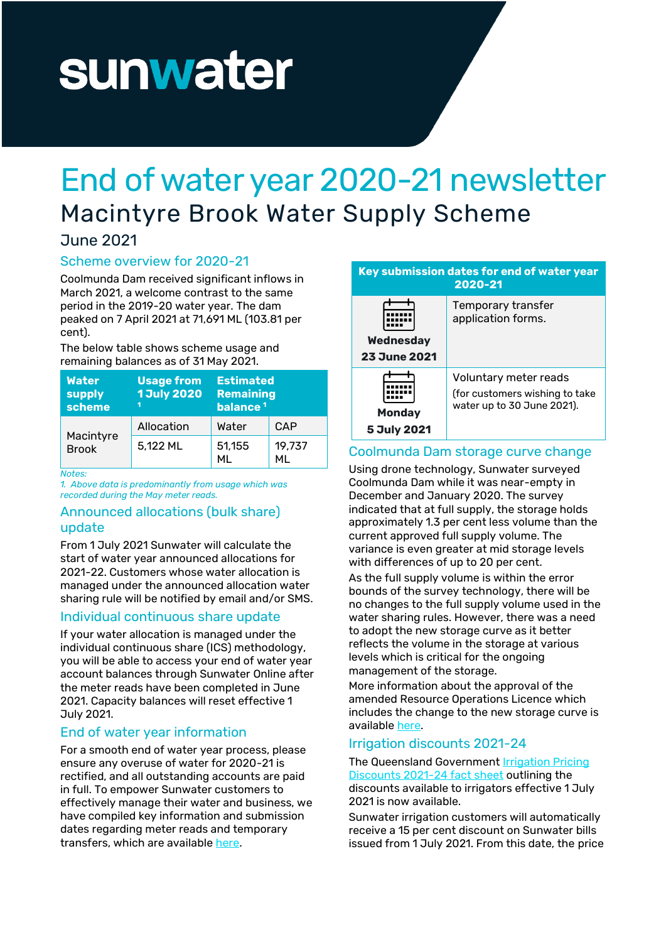# sunwater

# End of water year 2020-21 newsletter Macintyre Brook Water Supply Scheme

# June 2021

### Scheme overview for 2020-21

Coolmunda Dam received significant inflows in March 2021, a welcome contrast to the same period in the 2019-20 water year. The dam peaked on 7 April 2021 at 71,691 ML (103.81 per cent).

The below table shows scheme usage and remaining balances as of 31 May 2021.

| <b>Water</b><br>supply<br>scheme | <b>Usage from</b><br><b>1 July 2020</b> | <b>Estimated</b><br><b>Remaining</b><br>balance <sup>1</sup> |              |
|----------------------------------|-----------------------------------------|--------------------------------------------------------------|--------------|
| Macintyre<br><b>Brook</b>        | Allocation                              | Water                                                        | CAP          |
|                                  | 5,122 ML                                | 51,155<br>МI                                                 | 19.737<br>ML |

*Notes:*

*1. Above data is predominantly from usage which was recorded during the May meter reads.* 

#### Announced allocations (bulk share) update

From 1 July 2021 Sunwater will calculate the start of water year announced allocations for 2021-22. Customers whose water allocation is managed under the announced allocation water sharing rule will be notified by email and/or SMS.

# Individual continuous share update

If your water allocation is managed under the individual continuous share (ICS) methodology, you will be able to access your end of water year account balances through Sunwater Online after the meter reads have been completed in June 2021. Capacity balances will reset effective 1 July 2021.

# End of water year information

For a smooth end of water year process, please ensure any overuse of water for 2020-21 is rectified, and all outstanding accounts are paid in full. To empower Sunwater customers to effectively manage their water and business, we have compiled key information and submission dates regarding meter reads and temporary transfers, which are available [here.](https://www.sunwater.com.au/wp-content/uploads/Home/Customer/Managing-your-account/Customer_Update_-_End_of_water_key_dates_2020-21_11062021.pdf)

| Key submission dates for end of water year<br>2020-21 |                                                                                       |  |
|-------------------------------------------------------|---------------------------------------------------------------------------------------|--|
| Wednesday<br><b>23 June 2021</b>                      | Temporary transfer<br>application forms.                                              |  |
| Mondav<br>5 July 2021                                 | Voluntary meter reads<br>(for customers wishing to take<br>water up to 30 June 2021). |  |

#### Coolmunda Dam storage curve change

Using drone technology, Sunwater surveyed Coolmunda Dam while it was near-empty in December and January 2020. The survey indicated that at full supply, the storage holds approximately 1.3 per cent less volume than the current approved full supply volume. The variance is even greater at mid storage levels with differences of up to 20 per cent.

As the full supply volume is within the error bounds of the survey technology, there will be no changes to the full supply volume used in the water sharing rules. However, there was a need to adopt the new storage curve as it better reflects the volume in the storage at various levels which is critical for the ongoing management of the storage.

More information about the approval of the amended Resource Operations Licence which includes the change to the new storage curve is available [here.](https://www.sunwater.com.au/wp-content/uploads/Home/Schemes/Macintyre-Brook/Customer_Update_-_Approval_of_amended_Resource_Operations_Licence_and_Operations_Manual_-_Macintyre_Brook_WSS.pdf) 

# Irrigation discounts 2021-24

#### The Queensland Government **Irrigation Pricing** [Discounts 2021-24 fact sheet](https://www.sunwater.com.au/wp-content/uploads/Home/Customer/Fees-Charges/QGOV_Irrigation%20Pricing%20Discounts%202021-24_Fact%20sheet_14062021.pdf) outlining the discounts available to irrigators effective 1 July 2021 is now available.

Sunwater irrigation customers will automatically receive a 15 per cent discount on Sunwater bills issued from 1 July 2021. From this date, the price